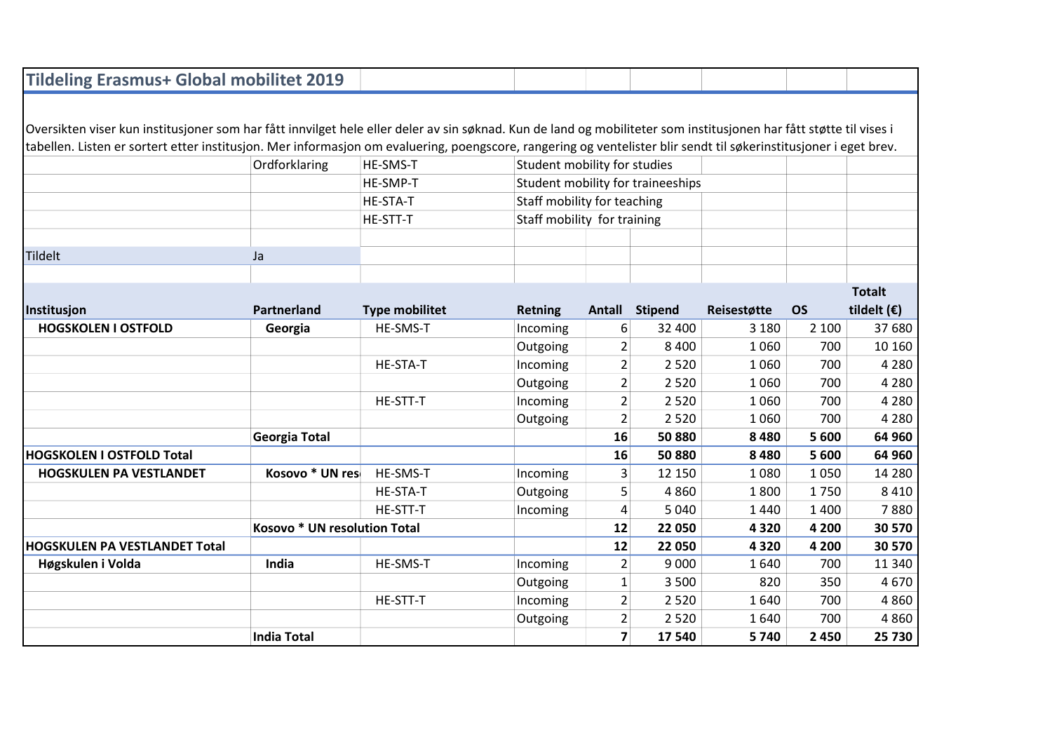| <b>Tildeling Erasmus+ Global mobilitet 2019</b>                                                                                                                    |                              |                       |                                   |                              |                |             |           |                      |  |
|--------------------------------------------------------------------------------------------------------------------------------------------------------------------|------------------------------|-----------------------|-----------------------------------|------------------------------|----------------|-------------|-----------|----------------------|--|
|                                                                                                                                                                    |                              |                       |                                   |                              |                |             |           |                      |  |
| Oversikten viser kun institusjoner som har fått innvilget hele eller deler av sin søknad. Kun de land og mobiliteter som institusjonen har fått støtte til vises i |                              |                       |                                   |                              |                |             |           |                      |  |
| tabellen. Listen er sortert etter institusjon. Mer informasjon om evaluering, poengscore, rangering og ventelister blir sendt til søkerinstitusjoner i eget brev.  |                              |                       |                                   |                              |                |             |           |                      |  |
|                                                                                                                                                                    | Ordforklaring                | HE-SMS-T              |                                   | Student mobility for studies |                |             |           |                      |  |
|                                                                                                                                                                    |                              | HE-SMP-T              | Student mobility for traineeships |                              |                |             |           |                      |  |
|                                                                                                                                                                    |                              | HE-STA-T              | Staff mobility for teaching       |                              |                |             |           |                      |  |
|                                                                                                                                                                    |                              | HE-STT-T              | Staff mobility for training       |                              |                |             |           |                      |  |
|                                                                                                                                                                    |                              |                       |                                   |                              |                |             |           |                      |  |
| Tildelt                                                                                                                                                            | Ja                           |                       |                                   |                              |                |             |           |                      |  |
|                                                                                                                                                                    |                              |                       |                                   |                              |                |             |           |                      |  |
|                                                                                                                                                                    |                              |                       |                                   |                              |                |             |           | <b>Totalt</b>        |  |
| Institusjon                                                                                                                                                        | Partnerland                  | <b>Type mobilitet</b> | <b>Retning</b>                    |                              | Antall Stipend | Reisestøtte | <b>OS</b> | tildelt $(\epsilon)$ |  |
| <b>HOGSKOLEN I OSTFOLD</b>                                                                                                                                         | Georgia                      | HE-SMS-T              | Incoming                          | 6                            | 32 400         | 3 1 8 0     | 2 100     | 37 680               |  |
|                                                                                                                                                                    |                              |                       | Outgoing                          | $\overline{2}$               | 8 4 0 0        | 1060        | 700       | 10 160               |  |
|                                                                                                                                                                    |                              | <b>HE-STA-T</b>       | Incoming                          | 2                            | 2 5 2 0        | 1060        | 700       | 4 2 8 0              |  |
|                                                                                                                                                                    |                              |                       | Outgoing                          | $\overline{2}$               | 2 5 2 0        | 1060        | 700       | 4 2 8 0              |  |
|                                                                                                                                                                    |                              | HE-STT-T              | Incoming                          | $\overline{2}$               | 2 5 2 0        | 1060        | 700       | 4 2 8 0              |  |
|                                                                                                                                                                    |                              |                       | Outgoing                          | $\overline{2}$               | 2 5 2 0        | 1060        | 700       | 4 2 8 0              |  |
|                                                                                                                                                                    | <b>Georgia Total</b>         |                       |                                   | 16                           | 50880          | 8 4 8 0     | 5 600     | 64 960               |  |
| <b>HOGSKOLEN I OSTFOLD Total</b>                                                                                                                                   |                              |                       |                                   | 16                           | 50880          | 8 4 8 0     | 5 600     | 64 960               |  |
| <b>HOGSKULEN PA VESTLANDET</b>                                                                                                                                     | Kosovo * UN res              | HE-SMS-T              | Incoming                          | 3                            | 12 150         | 1080        | 1050      | 14 2 8 0             |  |
|                                                                                                                                                                    |                              | HE-STA-T              | Outgoing                          | 5                            | 4860           | 1800        | 1750      | 8410                 |  |
|                                                                                                                                                                    |                              | HE-STT-T              | Incoming                          | 4                            | 5 0 4 0        | 1440        | 1 4 0 0   | 7880                 |  |
|                                                                                                                                                                    | Kosovo * UN resolution Total |                       |                                   | 12                           | 22 050         | 4320        | 4 2 0 0   | 30 570               |  |
| <b>HOGSKULEN PA VESTLANDET Total</b>                                                                                                                               |                              |                       |                                   | 12                           | 22 050         | 4320        | 4 2 0 0   | 30 570               |  |
| Høgskulen i Volda                                                                                                                                                  | India                        | HE-SMS-T              | Incoming                          | $\overline{2}$               | 9 0 0 0        | 1640        | 700       | 11 340               |  |
|                                                                                                                                                                    |                              |                       | Outgoing                          | $\mathbf{1}$                 | 3 500          | 820         | 350       | 4670                 |  |
|                                                                                                                                                                    |                              | HE-STT-T              | Incoming                          | $\overline{2}$               | 2 5 2 0        | 1640        | 700       | 4860                 |  |
|                                                                                                                                                                    |                              |                       | Outgoing                          | $\overline{2}$               | 2 5 2 0        | 1640        | 700       | 4860                 |  |
|                                                                                                                                                                    | <b>India Total</b>           |                       |                                   | $\overline{7}$               | 17540          | 5740        | 2 4 5 0   | 25 730               |  |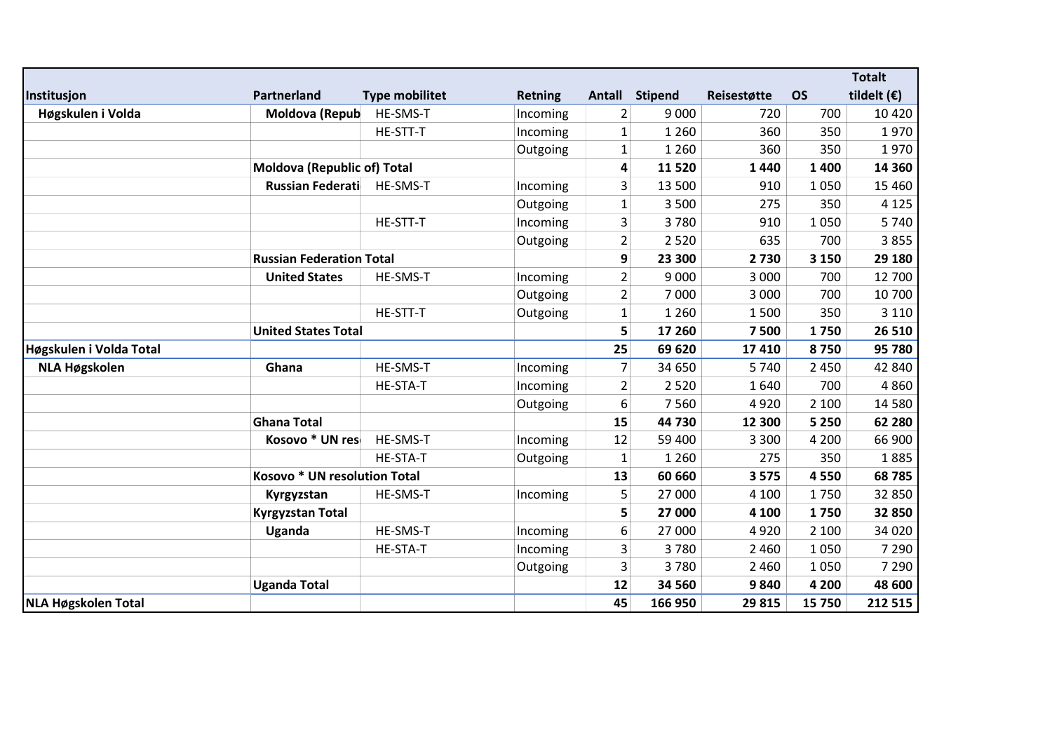|                         |                                    |                       |                |                |                |             |           | <b>Totalt</b>        |
|-------------------------|------------------------------------|-----------------------|----------------|----------------|----------------|-------------|-----------|----------------------|
| Institusjon             | Partnerland                        | <b>Type mobilitet</b> | <b>Retning</b> | Antall         | <b>Stipend</b> | Reisestøtte | <b>OS</b> | tildelt $(\epsilon)$ |
| Høgskulen i Volda       | Moldova (Repub                     | HE-SMS-T              | Incoming       | $\overline{2}$ | 9 0 0 0        | 720         | 700       | 10 4 20              |
|                         |                                    | HE-STT-T              | Incoming       | $\mathbf{1}$   | 1 2 6 0        | 360         | 350       | 1970                 |
|                         |                                    |                       | Outgoing       | $\mathbf{1}$   | 1 2 6 0        | 360         | 350       | 1970                 |
|                         | <b>Moldova (Republic of) Total</b> |                       |                | 4              | 11 5 20        | 1440        | 1400      | 14 3 60              |
|                         | <b>Russian Federati</b>            | HE-SMS-T              | Incoming       | 3              | 13 500         | 910         | 1050      | 15 4 60              |
|                         |                                    |                       | Outgoing       | $\mathbf{1}$   | 3 5 0 0        | 275         | 350       | 4 1 2 5              |
|                         |                                    | HE-STT-T              | Incoming       | 3              | 3780           | 910         | 1050      | 5740                 |
|                         |                                    |                       | Outgoing       | $\overline{2}$ | 2 5 2 0        | 635         | 700       | 3855                 |
|                         | <b>Russian Federation Total</b>    |                       |                | 9              | 23 300         | 2730        | 3 1 5 0   | 29 180               |
|                         | <b>United States</b>               | HE-SMS-T              | Incoming       | $\overline{2}$ | 9 0 0 0        | 3 0 0 0     | 700       | 12 700               |
|                         |                                    |                       | Outgoing       | $\overline{2}$ | 7000           | 3 0 0 0     | 700       | 10 700               |
|                         |                                    | HE-STT-T              | Outgoing       | $\mathbf{1}$   | 1 2 6 0        | 1500        | 350       | 3 1 1 0              |
|                         | <b>United States Total</b>         |                       |                | 5              | 17 260         | 7500        | 1750      | 26 510               |
| Høgskulen i Volda Total |                                    |                       |                | 25             | 69 620         | 17 410      | 8750      | 95 780               |
| <b>NLA Høgskolen</b>    | Ghana                              | HE-SMS-T              | Incoming       | 7              | 34 650         | 5740        | 2 4 5 0   | 42 840               |
|                         |                                    | HE-STA-T              | Incoming       | $\overline{2}$ | 2 5 2 0        | 1640        | 700       | 4860                 |
|                         |                                    |                       | Outgoing       | 6              | 7560           | 4920        | 2 100     | 14 5 80              |
|                         | <b>Ghana Total</b>                 |                       |                | 15             | 44 730         | 12 300      | 5 2 5 0   | 62 280               |
|                         | Kosovo * UN res                    | HE-SMS-T              | Incoming       | 12             | 59 400         | 3 3 0 0     | 4 2 0 0   | 66 900               |
|                         |                                    | HE-STA-T              | Outgoing       | $\mathbf{1}$   | 1 2 6 0        | 275         | 350       | 1885                 |
|                         | Kosovo * UN resolution Total       |                       |                | 13             | 60 660         | 3575        | 4550      | 68785                |
|                         | Kyrgyzstan                         | HE-SMS-T              | Incoming       | 5              | 27 000         | 4 100       | 1750      | 32 850               |
|                         | <b>Kyrgyzstan Total</b>            |                       |                | 5              | 27 000         | 4 100       | 1750      | 32 850               |
|                         | Uganda                             | HE-SMS-T              | Incoming       | 6              | 27 000         | 4920        | 2 100     | 34 0 20              |
|                         |                                    | HE-STA-T              | Incoming       | 3              | 3780           | 2 4 6 0     | 1050      | 7 2 9 0              |
|                         |                                    |                       | Outgoing       | 3              | 3780           | 2 4 6 0     | 1050      | 7 2 9 0              |
|                         | <b>Uganda Total</b>                |                       |                | 12             | 34 560         | 9840        | 4 200     | 48 600               |
| NLA Høgskolen Total     |                                    |                       |                | 45             | 166 950        | 29 815      | 15 750    | 212 515              |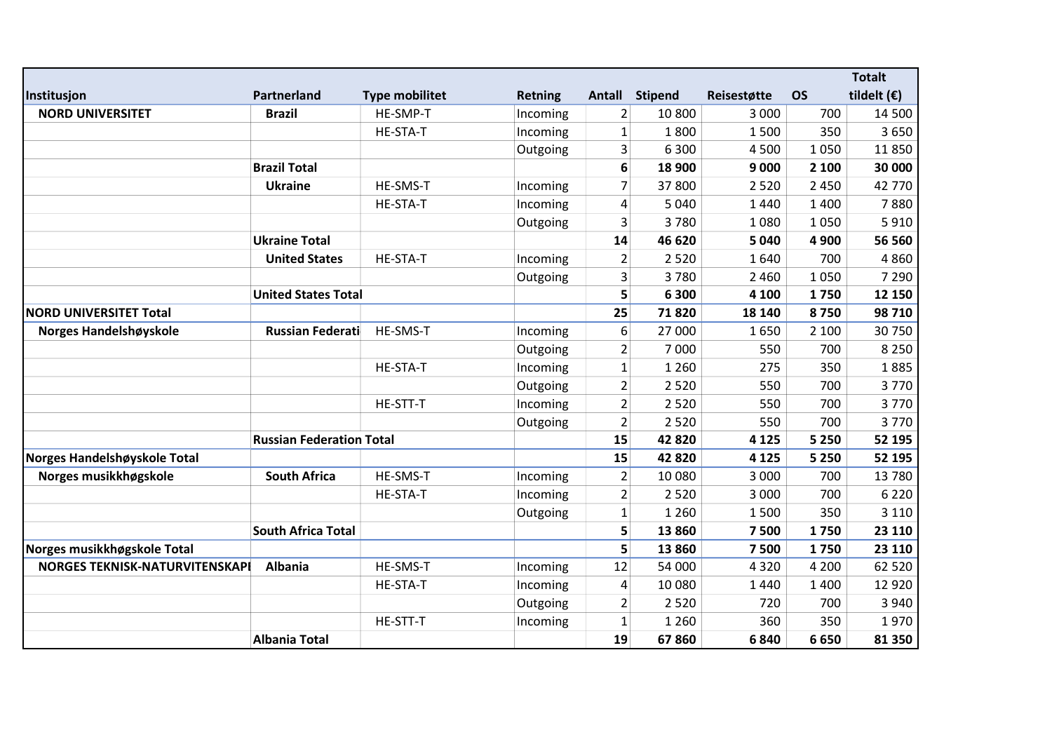|                                       |                                 |                       |                |                |                |             |           | <b>Totalt</b>        |
|---------------------------------------|---------------------------------|-----------------------|----------------|----------------|----------------|-------------|-----------|----------------------|
| Institusjon                           | Partnerland                     | <b>Type mobilitet</b> | <b>Retning</b> | Antall         | <b>Stipend</b> | Reisestøtte | <b>OS</b> | tildelt $(\epsilon)$ |
| <b>NORD UNIVERSITET</b>               | <b>Brazil</b>                   | HE-SMP-T              | Incoming       | $\overline{2}$ | 10 800         | 3 0 0 0     | 700       | 14 500               |
|                                       |                                 | HE-STA-T              | Incoming       | $\mathbf{1}$   | 1800           | 1500        | 350       | 3650                 |
|                                       |                                 |                       | Outgoing       | 3              | 6 3 0 0        | 4500        | 1050      | 11 850               |
|                                       | <b>Brazil Total</b>             |                       |                | 6              | 18 900         | 9 0 0 0     | 2 100     | 30 000               |
|                                       | <b>Ukraine</b>                  | HE-SMS-T              | Incoming       | $\overline{7}$ | 37 800         | 2 5 2 0     | 2 4 5 0   | 42 770               |
|                                       |                                 | HE-STA-T              | Incoming       | 4              | 5 0 4 0        | 1440        | 1 4 0 0   | 7880                 |
|                                       |                                 |                       | Outgoing       | 3              | 3780           | 1080        | 1050      | 5910                 |
|                                       | <b>Ukraine Total</b>            |                       |                | 14             | 46 620         | 5 0 4 0     | 4 9 0 0   | 56 560               |
|                                       | <b>United States</b>            | HE-STA-T              | Incoming       | $\overline{2}$ | 2 5 2 0        | 1640        | 700       | 4860                 |
|                                       |                                 |                       | Outgoing       | 3              | 3780           | 2 4 6 0     | 1050      | 7 2 9 0              |
|                                       | <b>United States Total</b>      |                       |                | 5              | 6 300          | 4 100       | 1750      | 12 150               |
| <b>NORD UNIVERSITET Total</b>         |                                 |                       |                | 25             | 71820          | 18 140      | 8750      | 98 710               |
| Norges Handelshøyskole                | <b>Russian Federati</b>         | HE-SMS-T              | Incoming       | 6              | 27 000         | 1650        | 2 100     | 30 750               |
|                                       |                                 |                       | Outgoing       | $\overline{2}$ | 7 0 0 0        | 550         | 700       | 8 2 5 0              |
|                                       |                                 | <b>HE-STA-T</b>       | Incoming       | $\mathbf{1}$   | 1 2 6 0        | 275         | 350       | 1885                 |
|                                       |                                 |                       | Outgoing       | $\overline{2}$ | 2 5 2 0        | 550         | 700       | 3770                 |
|                                       |                                 | HE-STT-T              | Incoming       | $\overline{2}$ | 2 5 2 0        | 550         | 700       | 3770                 |
|                                       |                                 |                       | Outgoing       | $\overline{2}$ | 2 5 2 0        | 550         | 700       | 3770                 |
|                                       | <b>Russian Federation Total</b> |                       |                | 15             | 42 8 20        | 4 1 2 5     | 5 2 5 0   | 52 195               |
| Norges Handelshøyskole Total          |                                 |                       |                | 15             | 42820          | 4 1 2 5     | 5 2 5 0   | 52 195               |
| Norges musikkhøgskole                 | <b>South Africa</b>             | HE-SMS-T              | Incoming       | $\overline{2}$ | 10 080         | 3 0 0 0     | 700       | 13 780               |
|                                       |                                 | <b>HE-STA-T</b>       | Incoming       | $\overline{2}$ | 2 5 2 0        | 3 0 0 0     | 700       | 6 2 2 0              |
|                                       |                                 |                       | Outgoing       | $\mathbf{1}$   | 1 2 6 0        | 1500        | 350       | 3 1 1 0              |
|                                       | <b>South Africa Total</b>       |                       |                | 5              | 13 860         | 7500        | 1750      | 23 110               |
| Norges musikkhøgskole Total           |                                 |                       |                | 5              | 13 860         | 7500        | 1750      | 23 110               |
| <b>NORGES TEKNISK-NATURVITENSKAPI</b> | <b>Albania</b>                  | HE-SMS-T              | Incoming       | 12             | 54 000         | 4 3 2 0     | 4 2 0 0   | 62 520               |
|                                       |                                 | <b>HE-STA-T</b>       | Incoming       | 4              | 10 080         | 1440        | 1 4 0 0   | 12 9 20              |
|                                       |                                 |                       | Outgoing       | $\overline{2}$ | 2 5 2 0        | 720         | 700       | 3 9 4 0              |
|                                       |                                 | HE-STT-T              | Incoming       | 1              | 1 2 6 0        | 360         | 350       | 1970                 |
|                                       | <b>Albania Total</b>            |                       |                | 19             | 67860          | 6840        | 6650      | 81 350               |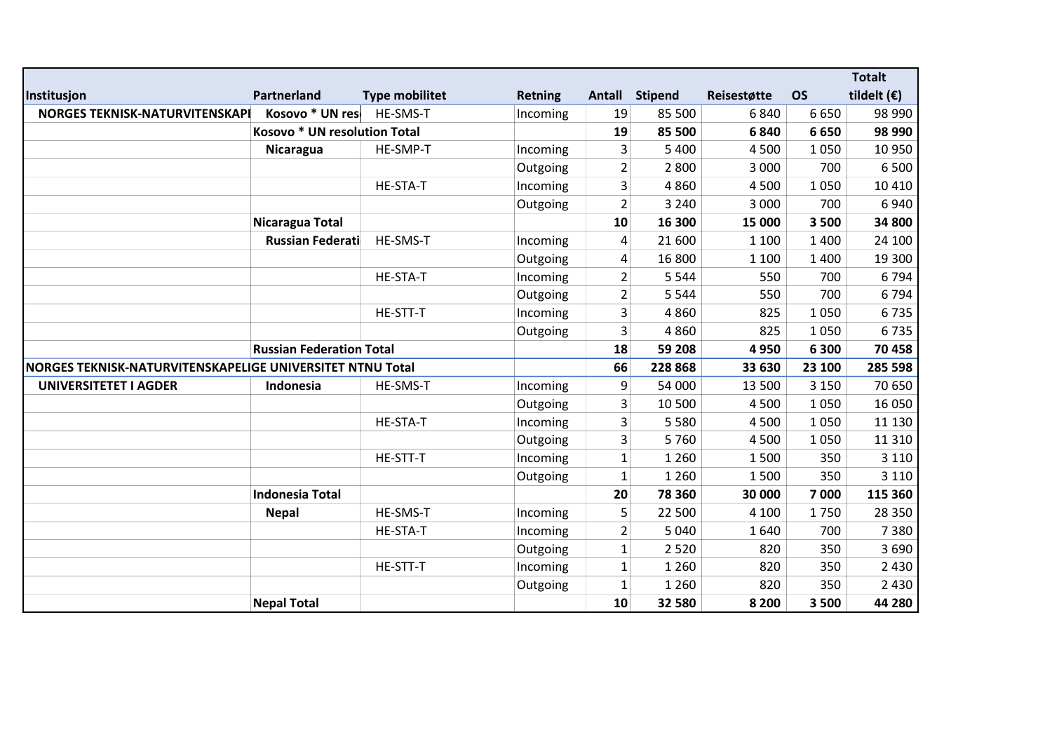|                                                           |                                 |                       |                |                |                |             |           | <b>Totalt</b>        |
|-----------------------------------------------------------|---------------------------------|-----------------------|----------------|----------------|----------------|-------------|-----------|----------------------|
| Institusjon                                               | Partnerland                     | <b>Type mobilitet</b> | <b>Retning</b> |                | Antall Stipend | Reisestøtte | <b>OS</b> | tildelt $(\epsilon)$ |
| NORGES TEKNISK-NATURVITENSKAPI                            | Kosovo * UN res                 | HE-SMS-T              | Incoming       | 19             | 85 500         | 6840        | 6650      | 98 990               |
|                                                           | Kosovo * UN resolution Total    |                       |                | 19             | 85 500         | 6840        | 6650      | 98 990               |
|                                                           | Nicaragua                       | HE-SMP-T              | Incoming       | 3              | 5 4 0 0        | 4500        | 1050      | 10 950               |
|                                                           |                                 |                       | Outgoing       | $\overline{2}$ | 2800           | 3 0 0 0     | 700       | 6500                 |
|                                                           |                                 | <b>HE-STA-T</b>       | Incoming       | 3              | 4860           | 4 5 0 0     | 1050      | 10 4 10              |
|                                                           |                                 |                       | Outgoing       | $\overline{2}$ | 3 2 4 0        | 3 0 0 0     | 700       | 6940                 |
|                                                           | Nicaragua Total                 |                       |                | 10             | 16 300         | 15 000      | 3500      | 34 800               |
|                                                           | <b>Russian Federati</b>         | HE-SMS-T              | Incoming       | 4              | 21 600         | 1 1 0 0     | 1 4 0 0   | 24 100               |
|                                                           |                                 |                       | Outgoing       | 4              | 16 800         | 1 1 0 0     | 1 4 0 0   | 19 300               |
|                                                           |                                 | <b>HE-STA-T</b>       | Incoming       | $\overline{2}$ | 5 5 4 4        | 550         | 700       | 6794                 |
|                                                           |                                 |                       | Outgoing       | $\overline{2}$ | 5 5 4 4        | 550         | 700       | 6794                 |
|                                                           |                                 | HE-STT-T              | Incoming       | 3              | 4860           | 825         | 1050      | 6735                 |
|                                                           |                                 |                       | Outgoing       | 3              | 4860           | 825         | 1050      | 6735                 |
|                                                           | <b>Russian Federation Total</b> |                       |                | 18             | 59 208         | 4950        | 6 3 0 0   | 70 458               |
| NORGES TEKNISK-NATURVITENSKAPELIGE UNIVERSITET NTNU Total |                                 |                       |                | 66             | 228 868        | 33 630      | 23 100    | 285 598              |
| <b>UNIVERSITETET I AGDER</b>                              | Indonesia                       | HE-SMS-T              | Incoming       | 9              | 54 000         | 13 500      | 3 1 5 0   | 70 650               |
|                                                           |                                 |                       | Outgoing       | 3              | 10 500         | 4500        | 1050      | 16 050               |
|                                                           |                                 | HE-STA-T              | Incoming       | 3              | 5 5 8 0        | 4500        | 1050      | 11 130               |
|                                                           |                                 |                       | Outgoing       | 3              | 5760           | 4500        | 1050      | 11 3 10              |
|                                                           |                                 | HE-STT-T              | Incoming       | $\mathbf{1}$   | 1 2 6 0        | 1500        | 350       | 3 1 1 0              |
|                                                           |                                 |                       | Outgoing       | $\mathbf{1}$   | 1 2 6 0        | 1500        | 350       | 3 1 1 0              |
|                                                           | <b>Indonesia Total</b>          |                       |                | 20             | 78 360         | 30 000      | 7000      | 115 360              |
|                                                           | <b>Nepal</b>                    | HE-SMS-T              | Incoming       | 5              | 22 500         | 4 100       | 1750      | 28 3 50              |
|                                                           |                                 | HE-STA-T              | Incoming       | $\overline{2}$ | 5 0 4 0        | 1640        | 700       | 7380                 |
|                                                           |                                 |                       | Outgoing       | $\mathbf{1}$   | 2 5 2 0        | 820         | 350       | 3690                 |
|                                                           |                                 | HE-STT-T              | Incoming       | $\mathbf{1}$   | 1 2 6 0        | 820         | 350       | 2 4 3 0              |
|                                                           |                                 |                       | Outgoing       | $\mathbf{1}$   | 1 2 6 0        | 820         | 350       | 2430                 |
|                                                           | <b>Nepal Total</b>              |                       |                | 10             | 32 580         | 8 2 0 0     | 3500      | 44 280               |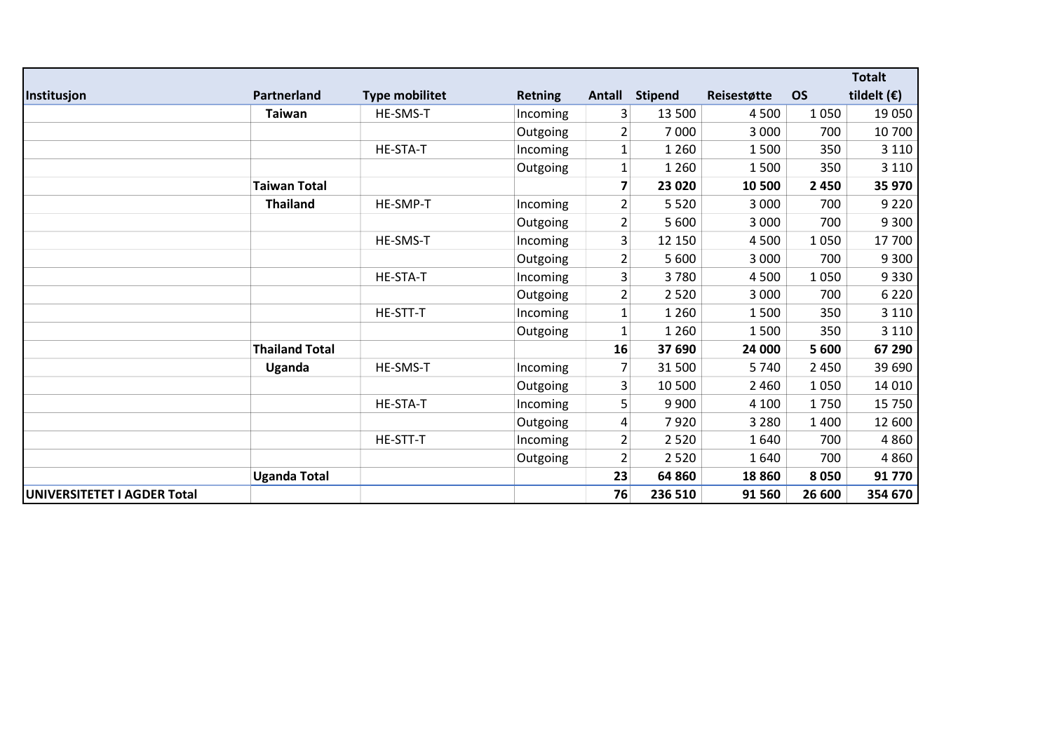|                             |                       |                       |                |                         |                |             |           | <b>Totalt</b>        |
|-----------------------------|-----------------------|-----------------------|----------------|-------------------------|----------------|-------------|-----------|----------------------|
| Institusjon                 | Partnerland           | <b>Type mobilitet</b> | <b>Retning</b> | Antall                  | <b>Stipend</b> | Reisestøtte | <b>OS</b> | tildelt $(\epsilon)$ |
|                             | <b>Taiwan</b>         | HE-SMS-T              | Incoming       | 3                       | 13 500         | 4500        | 1050      | 19 050               |
|                             |                       |                       | Outgoing       | $\overline{2}$          | 7 0 0 0        | 3 0 0 0     | 700       | 10 700               |
|                             |                       | HE-STA-T              | Incoming       | $\mathbf{1}$            | 1 2 6 0        | 1500        | 350       | 3 1 1 0              |
|                             |                       |                       | Outgoing       | $\mathbf{1}$            | 1 2 6 0        | 1500        | 350       | 3 1 1 0              |
|                             | <b>Taiwan Total</b>   |                       |                | $\overline{\mathbf{z}}$ | 23 0 20        | 10 500      | 2450      | 35 970               |
|                             | <b>Thailand</b>       | HE-SMP-T              | Incoming       | $\overline{2}$          | 5 5 2 0        | 3 0 0 0     | 700       | 9 2 2 0              |
|                             |                       |                       | Outgoing       | $\overline{2}$          | 5 600          | 3 0 0 0     | 700       | 9 3 0 0              |
|                             |                       | HE-SMS-T              | Incoming       | 3                       | 12 150         | 4500        | 1050      | 17 700               |
|                             |                       |                       | Outgoing       | $\overline{2}$          | 5 600          | 3 0 0 0     | 700       | 9 3 0 0              |
|                             |                       | HE-STA-T              | Incoming       | 3                       | 3780           | 4500        | 1050      | 9330                 |
|                             |                       |                       | Outgoing       | 2                       | 2 5 2 0        | 3 0 0 0     | 700       | 6 2 2 0              |
|                             |                       | HE-STT-T              | Incoming       | 1                       | 1 2 6 0        | 1500        | 350       | 3 1 1 0              |
|                             |                       |                       | Outgoing       | 1                       | 1 2 6 0        | 1500        | 350       | 3 1 1 0              |
|                             | <b>Thailand Total</b> |                       |                | 16                      | 37 690         | 24 000      | 5 600     | 67 290               |
|                             | Uganda                | HE-SMS-T              | Incoming       | 7                       | 31 500         | 5740        | 2 4 5 0   | 39 690               |
|                             |                       |                       | Outgoing       | 3                       | 10 500         | 2 4 6 0     | 1050      | 14 010               |
|                             |                       | HE-STA-T              | Incoming       | 5                       | 9 9 0 0        | 4 1 0 0     | 1750      | 15 750               |
|                             |                       |                       | Outgoing       | 4                       | 7920           | 3 2 8 0     | 1400      | 12 600               |
|                             |                       | HE-STT-T              | Incoming       | $\overline{2}$          | 2 5 2 0        | 1640        | 700       | 4860                 |
|                             |                       |                       | Outgoing       | $\overline{2}$          | 2 5 2 0        | 1640        | 700       | 4860                 |
|                             | <b>Uganda Total</b>   |                       |                | 23                      | 64 860         | 18860       | 8050      | 91 770               |
| UNIVERSITETET I AGDER Total |                       |                       |                | 76                      | 236 510        | 91 560      | 26 600    | 354 670              |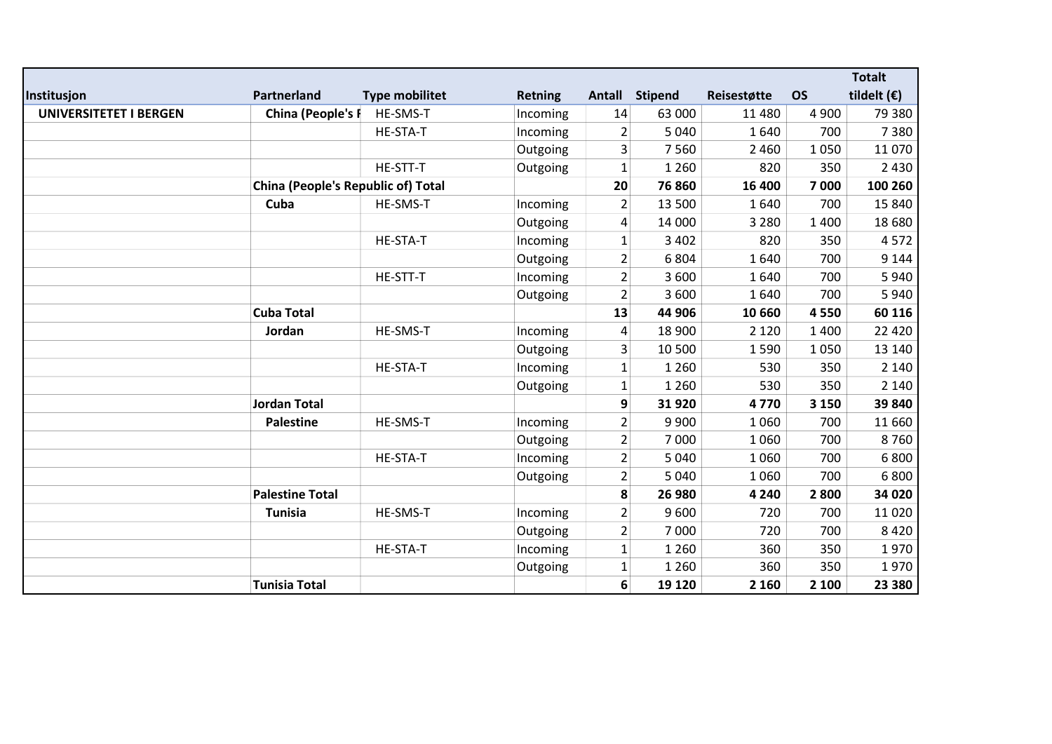|                               |                                           |                       |                |                |                |             |           | <b>Totalt</b>        |
|-------------------------------|-------------------------------------------|-----------------------|----------------|----------------|----------------|-------------|-----------|----------------------|
| Institusjon                   | Partnerland                               | <b>Type mobilitet</b> | <b>Retning</b> |                | Antall Stipend | Reisestøtte | <b>OS</b> | tildelt $(\epsilon)$ |
| <b>UNIVERSITETET I BERGEN</b> | China (People's F                         | HE-SMS-T              | Incoming       | 14             | 63 000         | 11 480      | 4 9 0 0   | 79 380               |
|                               |                                           | HE-STA-T              | Incoming       | $\overline{2}$ | 5 0 4 0        | 1640        | 700       | 7380                 |
|                               |                                           |                       | Outgoing       | 3              | 7560           | 2 4 6 0     | 1050      | 11 070               |
|                               |                                           | HE-STT-T              | Outgoing       | $\mathbf{1}$   | 1 2 6 0        | 820         | 350       | 2 4 3 0              |
|                               | <b>China (People's Republic of) Total</b> |                       |                | 20             | 76 860         | 16 400      | 7000      | 100 260              |
|                               | Cuba                                      | HE-SMS-T              | Incoming       | $\overline{2}$ | 13 500         | 1640        | 700       | 15 840               |
|                               |                                           |                       | Outgoing       | 4              | 14 000         | 3 2 8 0     | 1 4 0 0   | 18 680               |
|                               |                                           | HE-STA-T              | Incoming       | $\mathbf{1}$   | 3 4 0 2        | 820         | 350       | 4572                 |
|                               |                                           |                       | Outgoing       | $\overline{2}$ | 6804           | 1640        | 700       | 9 1 4 4              |
|                               |                                           | HE-STT-T              | Incoming       | $\overline{2}$ | 3 600          | 1640        | 700       | 5940                 |
|                               |                                           |                       | Outgoing       | $\overline{2}$ | 3 600          | 1640        | 700       | 5940                 |
|                               | <b>Cuba Total</b>                         |                       |                | 13             | 44 906         | 10 660      | 4550      | 60 116               |
|                               | Jordan                                    | HE-SMS-T              | Incoming       | 4              | 18 900         | 2 1 2 0     | 1 4 0 0   | 22 4 20              |
|                               |                                           |                       | Outgoing       | 3              | 10 500         | 1590        | 1050      | 13 140               |
|                               |                                           | HE-STA-T              | Incoming       | $\mathbf{1}$   | 1 2 6 0        | 530         | 350       | 2 1 4 0              |
|                               |                                           |                       | Outgoing       | $\mathbf{1}$   | 1 2 6 0        | 530         | 350       | 2 1 4 0              |
|                               | <b>Jordan Total</b>                       |                       |                | 9              | 31 920         | 4770        | 3 1 5 0   | 39 840               |
|                               | <b>Palestine</b>                          | HE-SMS-T              | Incoming       | $\overline{2}$ | 9 9 0 0        | 1060        | 700       | 11 660               |
|                               |                                           |                       | Outgoing       | $\overline{2}$ | 7000           | 1060        | 700       | 8760                 |
|                               |                                           | HE-STA-T              | Incoming       | $\overline{2}$ | 5 0 4 0        | 1060        | 700       | 6800                 |
|                               |                                           |                       | Outgoing       | $\overline{2}$ | 5 0 4 0        | 1060        | 700       | 6800                 |
|                               | <b>Palestine Total</b>                    |                       |                | 8              | 26 980         | 4 2 4 0     | 2800      | 34 020               |
|                               | <b>Tunisia</b>                            | HE-SMS-T              | Incoming       | $\overline{2}$ | 9600           | 720         | 700       | 11 0 20              |
|                               |                                           |                       | Outgoing       | $\overline{2}$ | 7 000          | 720         | 700       | 8420                 |
|                               |                                           | HE-STA-T              | Incoming       | $\mathbf{1}$   | 1 2 6 0        | 360         | 350       | 1970                 |
|                               |                                           |                       | Outgoing       | $\mathbf{1}$   | 1 2 6 0        | 360         | 350       | 1970                 |
|                               | <b>Tunisia Total</b>                      |                       |                | 6 <sup>1</sup> | 19 1 20        | 2 1 6 0     | 2 100     | 23 380               |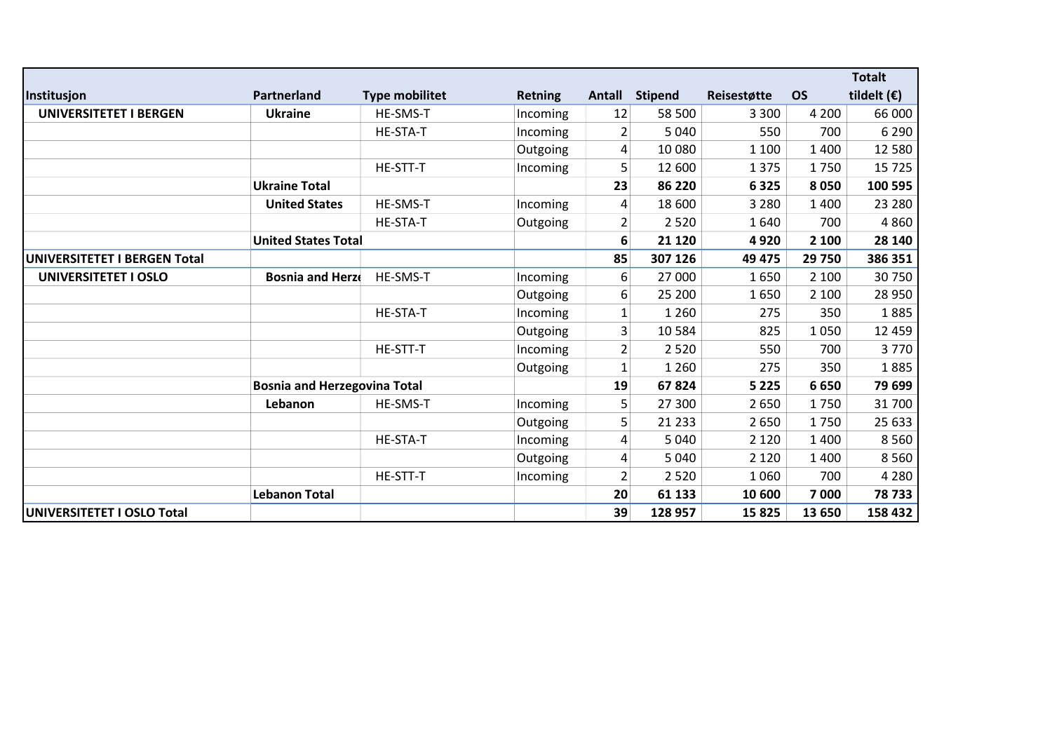|                               |                                     |                       |                |                |                |             |           | <b>Totalt</b>        |
|-------------------------------|-------------------------------------|-----------------------|----------------|----------------|----------------|-------------|-----------|----------------------|
| Institusjon                   | Partnerland                         | <b>Type mobilitet</b> | <b>Retning</b> | Antall         | <b>Stipend</b> | Reisestøtte | <b>OS</b> | tildelt $(\epsilon)$ |
| <b>UNIVERSITETET I BERGEN</b> | <b>Ukraine</b>                      | <b>HE-SMS-T</b>       | Incoming       | 12             | 58 500         | 3 3 0 0     | 4 2 0 0   | 66 000               |
|                               |                                     | <b>HE-STA-T</b>       | Incoming       | 2              | 5 0 4 0        | 550         | 700       | 6 2 9 0              |
|                               |                                     |                       | Outgoing       | 4              | 10 080         | 1 1 0 0     | 1 4 0 0   | 12 5 8 0             |
|                               |                                     | HE-STT-T              | Incoming       | 5              | 12 600         | 1 3 7 5     | 1750      | 15 7 25              |
|                               | <b>Ukraine Total</b>                |                       |                | 23             | 86 220         | 6325        | 8050      | 100 595              |
|                               | <b>United States</b>                | HE-SMS-T              | Incoming       | 4              | 18 600         | 3 2 8 0     | 1 4 0 0   | 23 280               |
|                               |                                     | HE-STA-T              | Outgoing       | $\overline{2}$ | 2520           | 1640        | 700       | 4860                 |
|                               | <b>United States Total</b>          |                       |                | 6              | 21 1 20        | 4920        | 2 100     | 28 140               |
| UNIVERSITETET I BERGEN Total  |                                     |                       |                | 85             | 307 126        | 49 475      | 29 750    | 386 351              |
| <b>UNIVERSITETET I OSLO</b>   | <b>Bosnia and Herzo</b>             | HE-SMS-T              | Incoming       | 6              | 27 000         | 1650        | 2 100     | 30 750               |
|                               |                                     |                       | Outgoing       | 6              | 25 200         | 1650        | 2 100     | 28 950               |
|                               |                                     | HE-STA-T              | Incoming       | 1              | 1 2 6 0        | 275         | 350       | 1885                 |
|                               |                                     |                       | Outgoing       | 3              | 10 5 84        | 825         | 1050      | 12 459               |
|                               |                                     | HE-STT-T              | Incoming       | $\overline{2}$ | 2 5 2 0        | 550         | 700       | 3770                 |
|                               |                                     |                       | Outgoing       | $\mathbf{1}$   | 1 2 6 0        | 275         | 350       | 1885                 |
|                               | <b>Bosnia and Herzegovina Total</b> |                       |                | 19             | 67824          | 5 2 2 5     | 6650      | 79 699               |
|                               | Lebanon                             | HE-SMS-T              | Incoming       | 5              | 27 300         | 2650        | 1750      | 31 700               |
|                               |                                     |                       | Outgoing       | 5              | 21 2 3 3       | 2650        | 1750      | 25 633               |
|                               |                                     | HE-STA-T              | Incoming       | 4              | 5 0 4 0        | 2 1 2 0     | 1 4 0 0   | 8560                 |
|                               |                                     |                       | Outgoing       | 4              | 5 0 4 0        | 2 1 2 0     | 1 4 0 0   | 8560                 |
|                               |                                     | HE-STT-T              | Incoming       | $\overline{2}$ | 2 5 2 0        | 1060        | 700       | 4 2 8 0              |
|                               | <b>Lebanon Total</b>                |                       |                | 20             | 61 133         | 10 600      | 7000      | 78733                |
| UNIVERSITETET I OSLO Total    |                                     |                       |                | 39             | 128 957        | 15825       | 13 650    | 158 432              |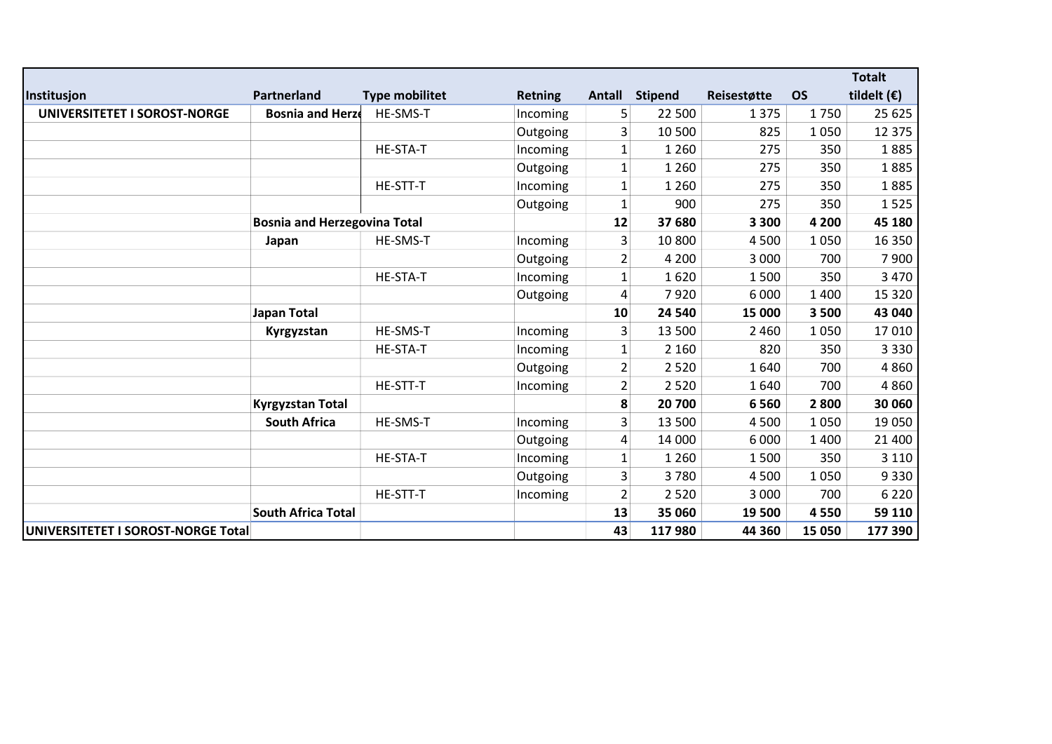|                                    |                                     |                       |                |                |                |             |           | <b>Totalt</b>        |
|------------------------------------|-------------------------------------|-----------------------|----------------|----------------|----------------|-------------|-----------|----------------------|
| Institusjon                        | Partnerland                         | <b>Type mobilitet</b> | <b>Retning</b> | Antall         | <b>Stipend</b> | Reisestøtte | <b>OS</b> | tildelt $(\epsilon)$ |
| UNIVERSITETET I SOROST-NORGE       | <b>Bosnia and Herzo</b>             | HE-SMS-T              | Incoming       | 5              | 22 500         | 1375        | 1750      | 25 6 25              |
|                                    |                                     |                       | Outgoing       | 3              | 10 500         | 825         | 1050      | 12 375               |
|                                    |                                     | HE-STA-T              | Incoming       | $\mathbf{1}$   | 1 2 6 0        | 275         | 350       | 1885                 |
|                                    |                                     |                       | Outgoing       | $\mathbf{1}$   | 1 2 6 0        | 275         | 350       | 1885                 |
|                                    |                                     | HE-STT-T              | Incoming       | 1              | 1 2 6 0        | 275         | 350       | 1885                 |
|                                    |                                     |                       | Outgoing       | $\mathbf 1$    | 900            | 275         | 350       | 1525                 |
|                                    | <b>Bosnia and Herzegovina Total</b> |                       |                | 12             | 37 680         | 3 3 0 0     | 4 2 0 0   | 45 180               |
|                                    | Japan                               | HE-SMS-T              | Incoming       | 3              | 10 800         | 4 5 0 0     | 1050      | 16 350               |
|                                    |                                     |                       | Outgoing       | $\overline{2}$ | 4 2 0 0        | 3 0 0 0     | 700       | 7900                 |
|                                    |                                     | HE-STA-T              | Incoming       | $\mathbf{1}$   | 1620           | 1500        | 350       | 3 4 7 0              |
|                                    |                                     |                       | Outgoing       | 4              | 7920           | 6 0 0 0     | 1 4 0 0   | 15 3 20              |
|                                    | Japan Total                         |                       |                | 10             | 24 540         | 15 000      | 3500      | 43 040               |
|                                    | Kyrgyzstan                          | HE-SMS-T              | Incoming       | 3              | 13 500         | 2 4 6 0     | 1050      | 17 010               |
|                                    |                                     | HE-STA-T              | Incoming       | $\mathbf 1$    | 2 1 6 0        | 820         | 350       | 3 3 3 0              |
|                                    |                                     |                       | Outgoing       | $\overline{2}$ | 2 5 2 0        | 1640        | 700       | 4860                 |
|                                    |                                     | HE-STT-T              | Incoming       | $\overline{2}$ | 2 5 2 0        | 1640        | 700       | 4860                 |
|                                    | <b>Kyrgyzstan Total</b>             |                       |                | 8              | 20 700         | 6560        | 2800      | 30 060               |
|                                    | <b>South Africa</b>                 | HE-SMS-T              | Incoming       | 3              | 13 500         | 4 5 0 0     | 1050      | 19 050               |
|                                    |                                     |                       | Outgoing       | 4              | 14 000         | 6 0 0 0     | 1 4 0 0   | 21 400               |
|                                    |                                     | HE-STA-T              | Incoming       | 1              | 1 2 6 0        | 1500        | 350       | 3 1 1 0              |
|                                    |                                     |                       | Outgoing       | 3              | 3780           | 4 5 0 0     | 1050      | 9330                 |
|                                    |                                     | HE-STT-T              | Incoming       | $\overline{2}$ | 2 5 2 0        | 3 0 0 0     | 700       | 6 2 2 0              |
|                                    | <b>South Africa Total</b>           |                       |                | 13             | 35 060         | 19 500      | 4550      | 59 110               |
| UNIVERSITETET I SOROST-NORGE Total |                                     |                       |                | 43             | 117980         | 44 360      | 15 050    | 177 390              |